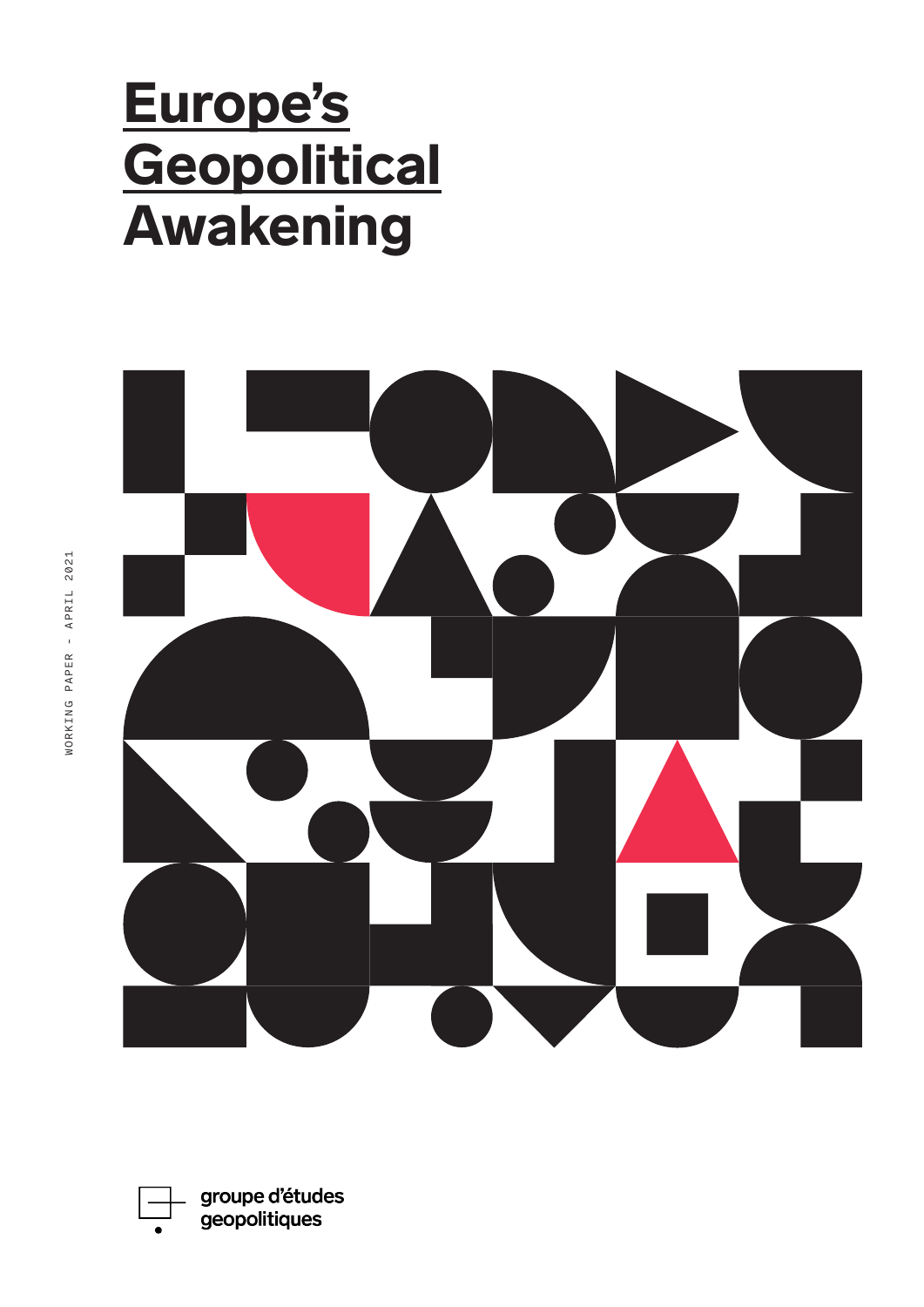# Europe's **Geopolitical** Awakening



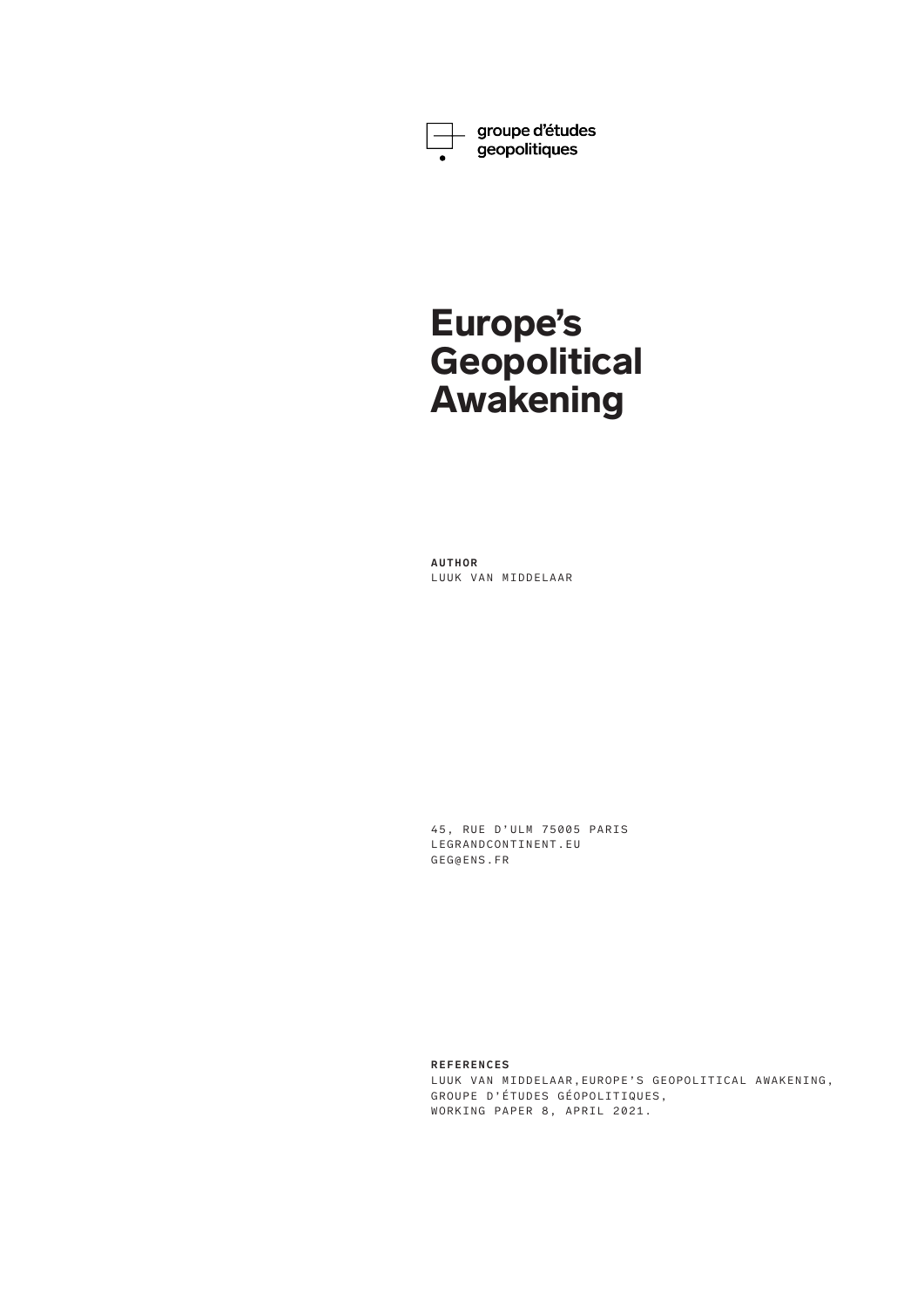

\_ groupe d'études<br> geopolitiques

# Europe's **Geopolitical** Awakening

**AUTHOR** LUUK VAN MIDDELAAR

45, RUE D'ULM 75005 PARIS LEGRANDCONTINENT.EU GEG@ENS.FR

**REFERENCES**

LUUK VAN MIDDELAAR,EUROPE'S GEOPOLITICAL AWAKENING, GROUPE D'ÉTUDES GÉOPOLITIQUES, WORKING PAPER 8, APRIL 2021.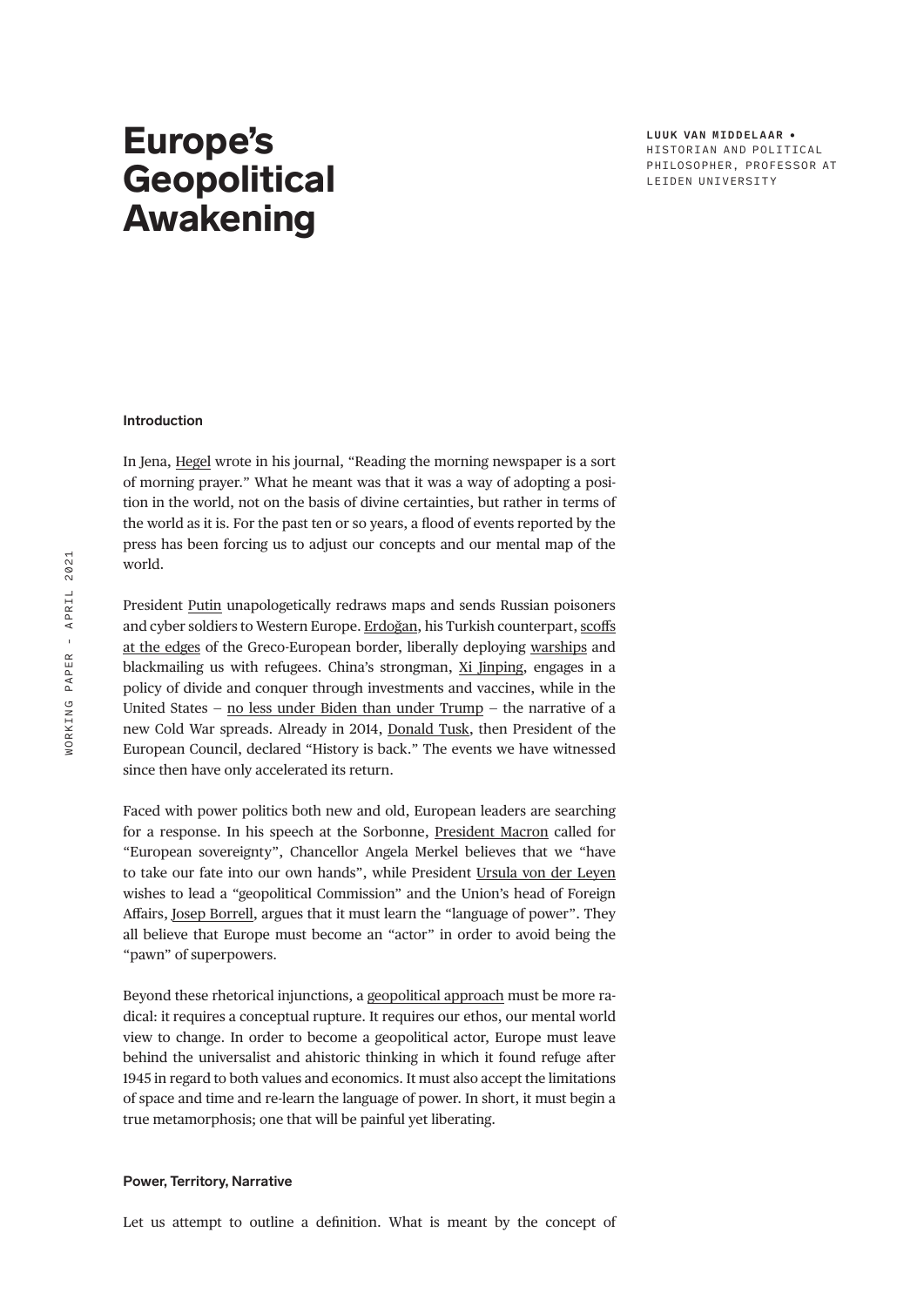**LUUK VAN MIDDELAAR** • HISTORIAN AND POLITICAL PHILOSOPHER, PROFESSOR AT LEIDEN UNIVERSITY

# Europe's **Geopolitical** Awakening

# **Introduction**

In Jena, [Hegel](https://legrandcontinent.eu/fr/2020/10/25/hegel-2020/) wrote in his journal, "Reading the morning newspaper is a sort of morning prayer." What he meant was that it was a way of adopting a position in the world, not on the basis of divine certainties, but rather in terms of the world as it is. For the past ten or so years, a flood of events reported by the press has been forcing us to adjust our concepts and our mental map of the world.

President [Putin](https://legrandcontinent.eu/fr/2019/10/13/letat-long-de-poutine/) unapologetically redraws maps and sends Russian poisoners and cyber soldiers to Western Europe. [Erdoğan](https://legrandcontinent.eu/fr/2020/10/27/comment-arreter-erdogan/), his Turkish counterpart, [scoffs](https://legrandcontinent.eu/fr/2020/10/28/europe-confrontation-turquie/)  [at the edges](https://legrandcontinent.eu/fr/2020/10/28/europe-confrontation-turquie/) of the Greco-European border, liberally deploying [warships](https://legrandcontinent.eu/fr/2020/10/26/cem-gurdeniz-geopolitique-maritime-turque/) and blackmailing us with refugees. China's strongman, [Xi Jinping](https://legrandcontinent.eu/fr/2021/01/09/5e-plenum-14e-plan-quinquennal-et-vision-2035-la-progressive-dislocation-de-la-matrice-chine-du-reste-du-monde/), engages in a policy of divide and conquer through investments and vaccines, while in the United States — [no less under Biden than under Trump](https://legrandcontinent.eu/fr/2020/11/09/biden-europe/) — the narrative of a new Cold War spreads. Already in 2014, [Donald Tusk](https://legrandcontinent.eu/fr/2020/06/06/donald-tusk/), then President of the European Council, declared "History is back." The events we have witnessed since then have only accelerated its return.

Faced with power politics both new and old, European leaders are searching for a response. In his speech at the Sorbonne, [President Macron](https://legrandcontinent.eu/fr/2020/11/16/macron/) called for "European sovereignty", Chancellor Angela Merkel believes that we "have to take our fate into our own hands", while President [Ursula von der Leyen](https://legrandcontinent.eu/fr/2020/09/16/letat-de-lunion-2/) wishes to lead a "geopolitical Commission" and the Union's head of Foreign Affairs, [Josep Borrell](https://legrandcontinent.eu/fr/2020/12/14/la-doctrine-borrell/), argues that it must learn the "language of power". They all believe that Europe must become an "actor" in order to avoid being the "pawn" of superpowers.

Beyond these rhetorical injunctions, a [geopolitical approach](https://legrandcontinent.eu/fr/2020/09/08/commission-geopolitique/) must be more radical: it requires a conceptual rupture. It requires our ethos, our mental world view to change. In order to become a geopolitical actor, Europe must leave behind the universalist and ahistoric thinking in which it found refuge after 1945 in regard to both values and economics. It must also accept the limitations of space and time and re-learn the language of power. In short, it must begin a true metamorphosis; one that will be painful yet liberating.

### **Power, Territory, Narrative**

Let us attempt to outline a definition. What is meant by the concept of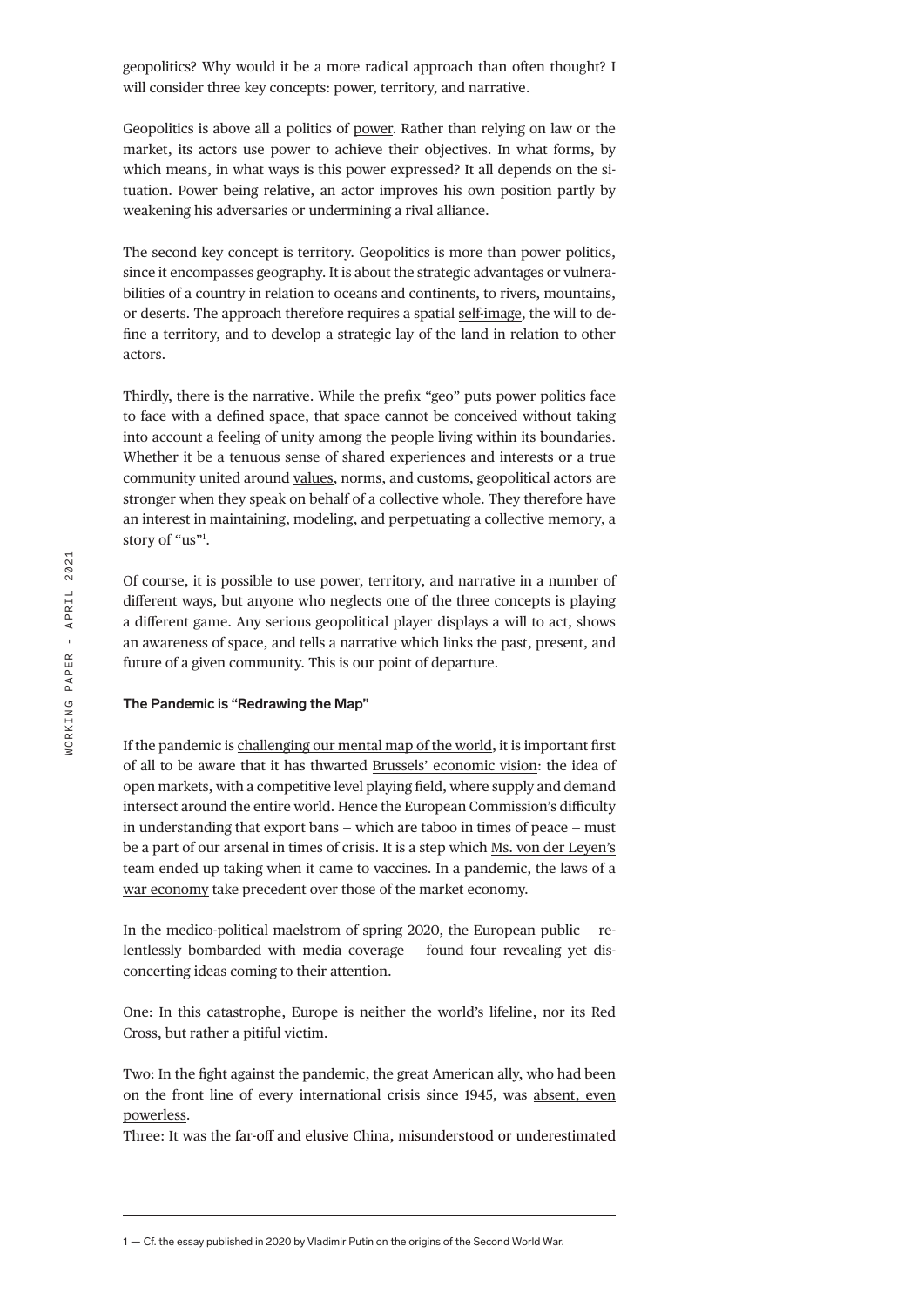geopolitics? Why would it be a more radical approach than often thought? I will consider three key concepts: power, territory, and narrative.

Geopolitics is above all a politics of [power.](https://legrandcontinent.eu/fr/2021/01/08/comment-definir-les-contours-de-leurope-puissance/) Rather than relying on law or the market, its actors use power to achieve their objectives. In what forms, by which means, in what ways is this power expressed? It all depends on the situation. Power being relative, an actor improves his own position partly by weakening his adversaries or undermining a rival alliance.

The second key concept is territory. Geopolitics is more than power politics, since it encompasses geography. It is about the strategic advantages or vulnerabilities of a country in relation to oceans and continents, to rivers, mountains, or deserts. The approach therefore requires a spatial [self-image](https://legrandcontinent.eu/fr/2020/02/07/conversation-avec-george-steiner/), the will to define a territory, and to develop a strategic lay of the land in relation to other actors.

Thirdly, there is the narrative. While the prefix "geo" puts power politics face to face with a defined space, that space cannot be conceived without taking into account a feeling of unity among the people living within its boundaries. Whether it be a tenuous sense of shared experiences and interests or a true community united around [values,](https://legrandcontinent.eu/fr/2020/12/02/valeurs-traites/) norms, and customs, geopolitical actors are stronger when they speak on behalf of a collective whole. They therefore have an interest in maintaining, modeling, and perpetuating a collective memory, a story of "us"1 .

Of course, it is possible to use power, territory, and narrative in a number of different ways, but anyone who neglects one of the three concepts is playing a different game. Any serious geopolitical player displays a will to act, shows an awareness of space, and tells a narrative which links the past, present, and future of a given community. This is our point of departure.

#### **The Pandemic is "Redrawing the Map"**

If the pandemic is [challenging our mental map of the world](https://legrandcontinent.eu/fr/2020/10/13/pandemie-et-basculement-geopolitique/), it is important first of all to be aware that it has thwarted [Brussels' economic vision](https://legrandcontinent.eu/fr/2021/03/20/lunion-paye-sa-naivete-et-son-absence-doffensive-sur-les-contrats-vaccinaux/): the idea of open markets, with a competitive level playing field, where supply and demand intersect around the entire world. Hence the European Commission's difficulty in understanding that export bans — which are taboo in times of peace — must be a part of our arsenal in times of crisis. It is a step which [Ms. von der Leyen's](https://legrandcontinent.eu/fr/2020/10/04/lascension-von-der-leyen/) team ended up taking when it came to vaccines. In a pandemic, the laws of a [war economy](https://legrandcontinent.eu/fr/2020/05/12/economie-de-pandemie-economie-de-guerre/) take precedent over those of the market economy.

In the medico-political maelstrom of spring 2020, the European public — relentlessly bombarded with media coverage — found four revealing yet disconcerting ideas coming to their attention.

One: In this catastrophe, Europe is neither the world's lifeline, nor its Red Cross, but rather a pitiful victim.

Two: In the fight against the pandemic, the great American ally, who had been on the front line of every international crisis since 1945, was [absent, even](https://legrandcontinent.eu/fr/2020/10/23/la-doctrine-trump-1/)  [powerless](https://legrandcontinent.eu/fr/2020/10/23/la-doctrine-trump-1/).

Three: It was the far-off and elusive China, misunderstood or underestimated

<sup>1 —</sup> Cf. the essay published in 2020 by Vladimir Putin on the origins of the Second World War.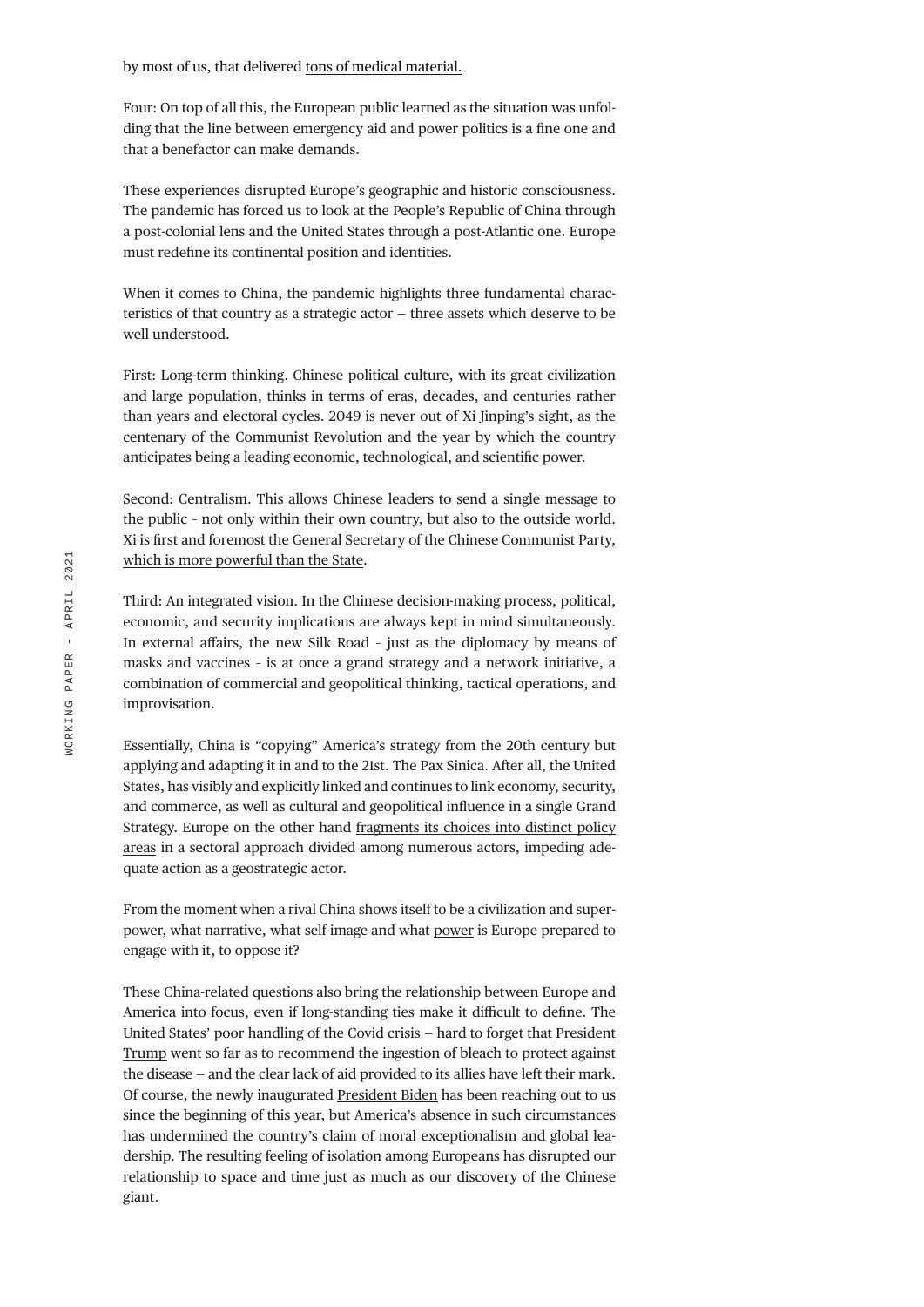Four: On top of all this, the European public learned as the situation was unfolding that the line between emergency aid and power politics is a fine one and that a benefactor can make demands.

These experiences disrupted Europe's geographic and historic consciousness. The pandemic has forced us to look at the People's Republic of China through a post-colonial lens and the United States through a post-Atlantic one. Europe must redefine its continental position and identities.

When it comes to China, the pandemic highlights three fundamental characteristics of that country as a strategic actor — three assets which deserve to be well understood.

First: Long-term thinking. Chinese political culture, with its great civilization and large population, thinks in terms of eras, decades, and centuries rather than years and electoral cycles. 2049 is never out of Xi Jinping's sight, as the centenary of the Communist Revolution and the year by which the country anticipates being a leading economic, technological, and scientific power.

Second: Centralism. This allows Chinese leaders to send a single message to the public – not only within their own country, but also to the outside world. Xi is first and foremost the General Secretary of the Chinese Communist Party, [which is more powerful than the State](https://legrandcontinent.eu/fr/2019/06/20/letat-du-parti-2/).

Third: An integrated vision. In the Chinese decision-making process, political, economic, and security implications are always kept in mind simultaneously. In external affairs, the new Silk Road – just as the diplomacy by means of masks and vaccines – is at once a grand strategy and a network initiative, a combination of commercial and geopolitical thinking, tactical operations, and improvisation.

Essentially, China is "copying" America's strategy from the 20th century but applying and adapting it in and to the 21st. The Pax Sinica. After all, the United States, has visibly and explicitly linked and continues to link economy, security, and commerce, as well as cultural and geopolitical influence in a single Grand Strategy. Europe on the other hand [fragments its choices into distinct policy](https://legrandcontinent.eu/fr/2020/10/20/pisani-ferry-asymetries/)  [areas](https://legrandcontinent.eu/fr/2020/10/20/pisani-ferry-asymetries/) in a sectoral approach divided among numerous actors, impeding adequate action as a geostrategic actor.

From the moment when a rival China shows itself to be a civilization and superpower, what narrative, what self-image and what [power](https://legrandcontinent.eu/fr/2020/12/03/conversation-avec-clement-beaune/) is Europe prepared to engage with it, to oppose it?

These China-related questions also bring the relationship between Europe and America into focus, even if long-standing ties make it difficult to define. The United States' poor handling of the Covid crisis — hard to forget that [President](https://legrandcontinent.eu/fr/2020/10/02/la-maladie-trump/)  [Trump](https://legrandcontinent.eu/fr/2020/10/02/la-maladie-trump/) went so far as to recommend the ingestion of bleach to protect against the disease — and the clear lack of aid provided to its allies have left their mark. Of course, the newly inaugurated [President Biden](https://legrandcontinent.eu/fr/2021/02/16/joe-biden-et-les-defis-de-lamerique/) has been reaching out to us since the beginning of this year, but America's absence in such circumstances has undermined the country's claim of moral exceptionalism and global leadership. The resulting feeling of isolation among Europeans has disrupted our relationship to space and time just as much as our discovery of the Chinese giant.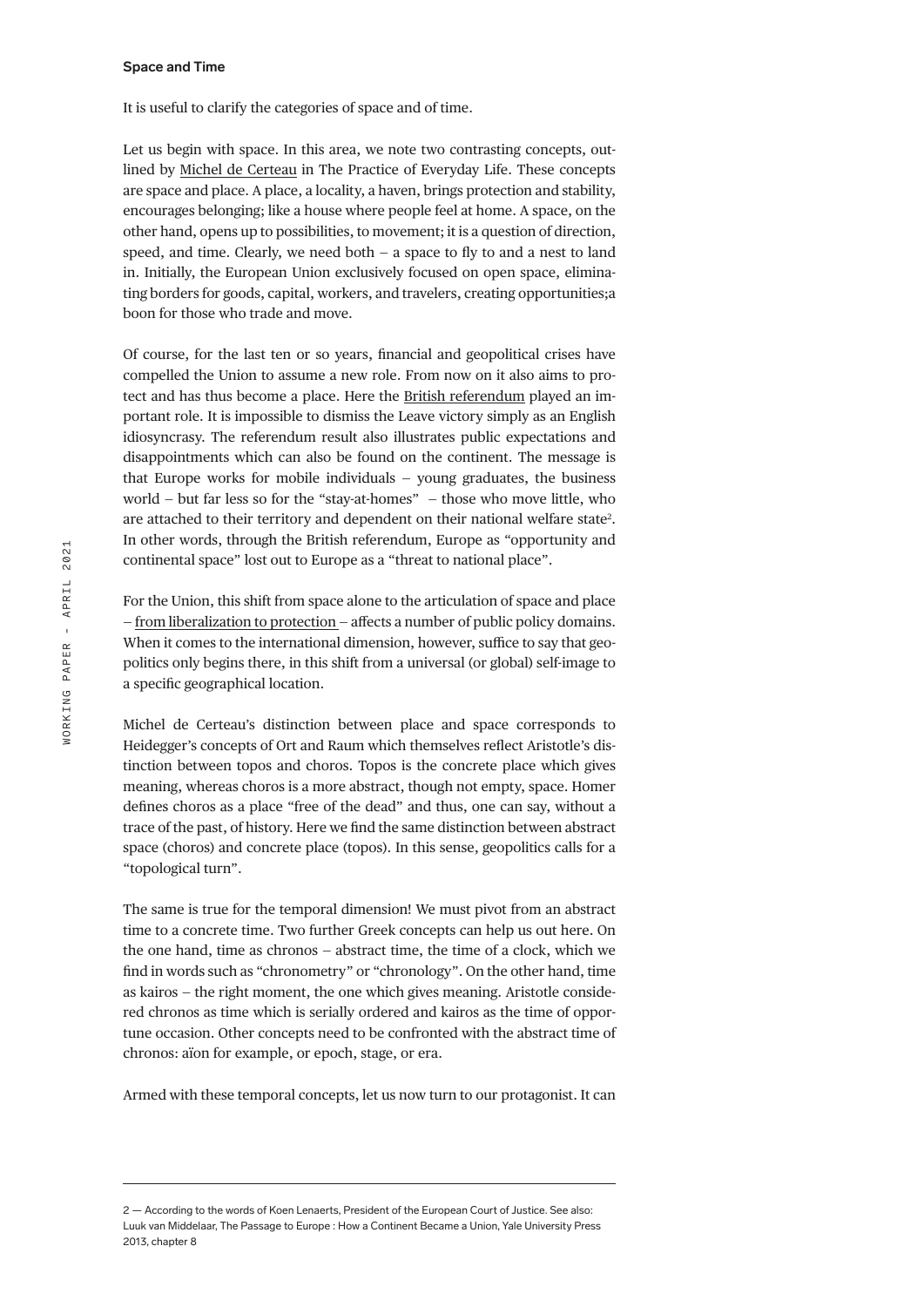#### **Space and Time**

It is useful to clarify the categories of space and of time.

Let us begin with space. In this area, we note two contrasting concepts, outlined by [Michel de Certeau](https://legrandcontinent.eu/fr/2020/10/08/francois-hartog/) in The Practice of Everyday Life. These concepts are space and place. A place, a locality, a haven, brings protection and stability, encourages belonging; like a house where people feel at home. A space, on the other hand, opens up to possibilities, to movement; it is a question of direction, speed, and time. Clearly, we need both  $-$  a space to fly to and a nest to land in. Initially, the European Union exclusively focused on open space, eliminating borders for goods, capital, workers, and travelers, creating opportunities;a boon for those who trade and move.

Of course, for the last ten or so years, financial and geopolitical crises have compelled the Union to assume a new role. From now on it also aims to protect and has thus become a place. Here the [British referendum](https://legrandcontinent.eu/fr/2020/12/30/sovereignty-first-10-points-sur-le-brexit/) played an important role. It is impossible to dismiss the Leave victory simply as an English idiosyncrasy. The referendum result also illustrates public expectations and disappointments which can also be found on the continent. The message is that Europe works for mobile individuals — young graduates, the business world — but far less so for the "stay-at-homes" — those who move little, who are attached to their territory and dependent on their national welfare state<sup>2</sup>. In other words, through the British referendum, Europe as "opportunity and continental space" lost out to Europe as a "threat to national place".

For the Union, this shift from space alone to the articulation of space and place — [from liberalization to protection —](https://legrandcontinent.eu/fr/2021/01/14/quest-ce-que-leconomie-dappartenance/) affects a number of public policy domains. When it comes to the international dimension, however, suffice to say that geopolitics only begins there, in this shift from a universal (or global) self-image to a specific geographical location.

Michel de Certeau's distinction between place and space corresponds to Heidegger's concepts of Ort and Raum which themselves reflect Aristotle's distinction between topos and choros. Topos is the concrete place which gives meaning, whereas choros is a more abstract, though not empty, space. Homer defines choros as a place "free of the dead" and thus, one can say, without a trace of the past, of history. Here we find the same distinction between abstract space (choros) and concrete place (topos). In this sense, geopolitics calls for a "topological turn".

The same is true for the temporal dimension! We must pivot from an abstract time to a concrete time. Two further Greek concepts can help us out here. On the one hand, time as chronos — abstract time, the time of a clock, which we find in words such as "chronometry" or "chronology". On the other hand, time as kairos — the right moment, the one which gives meaning. Aristotle considered chronos as time which is serially ordered and kairos as the time of opportune occasion. Other concepts need to be confronted with the abstract time of chronos: aïon for example, or epoch, stage, or era.

Armed with these temporal concepts, let us now turn to our protagonist. It can

<sup>2 —</sup> According to the words of Koen Lenaerts, President of the European Court of Justice. See also: Luuk van Middelaar, The Passage to Europe : How a Continent Became a Union, Yale University Press 2013, chapter 8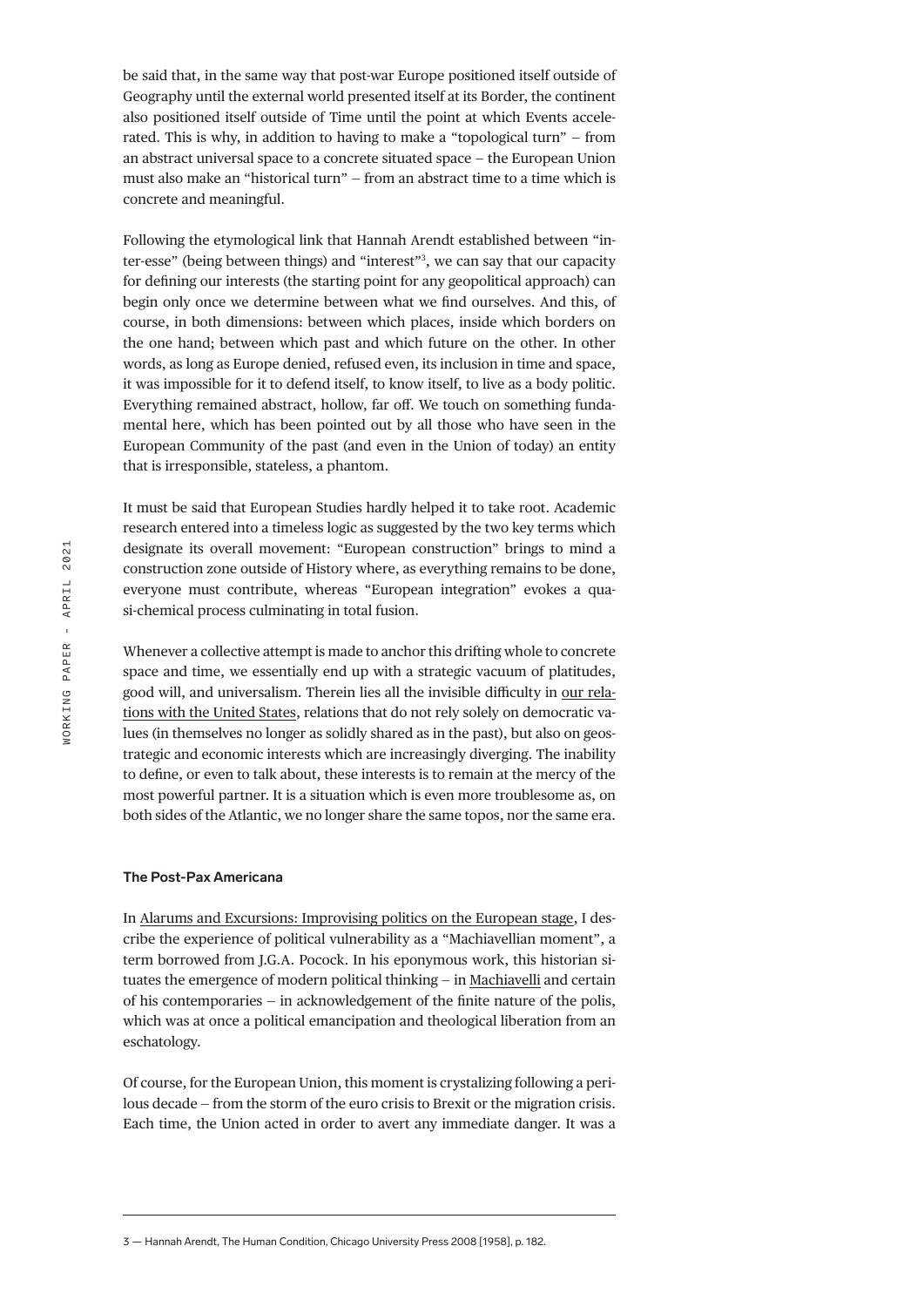be said that, in the same way that post-war Europe positioned itself outside of Geography until the external world presented itself at its Border, the continent also positioned itself outside of Time until the point at which Events accelerated. This is why, in addition to having to make a "topological turn" — from an abstract universal space to a concrete situated space — the European Union must also make an "historical turn" — from an abstract time to a time which is concrete and meaningful.

Following the etymological link that Hannah Arendt established between "inter-esse" (being between things) and "interest"3 , we can say that our capacity for defining our interests (the starting point for any geopolitical approach) can begin only once we determine between what we find ourselves. And this, of course, in both dimensions: between which places, inside which borders on the one hand; between which past and which future on the other. In other words, as long as Europe denied, refused even, its inclusion in time and space, it was impossible for it to defend itself, to know itself, to live as a body politic. Everything remained abstract, hollow, far off. We touch on something fundamental here, which has been pointed out by all those who have seen in the European Community of the past (and even in the Union of today) an entity that is irresponsible, stateless, a phantom.

It must be said that European Studies hardly helped it to take root. Academic research entered into a timeless logic as suggested by the two key terms which designate its overall movement: "European construction" brings to mind a construction zone outside of History where, as everything remains to be done, everyone must contribute, whereas "European integration" evokes a quasi-chemical process culminating in total fusion.

Whenever a collective attempt is made to anchor this drifting whole to concrete space and time, we essentially end up with a strategic vacuum of platitudes, good will, and universalism. Therein lies all the invisible difficulty in [our rela](https://legrandcontinent.eu/fr/2021/02/08/lautonomie-strategique-europeenne-et-la-presidence-biden/)[tions with the United States,](https://legrandcontinent.eu/fr/2021/02/08/lautonomie-strategique-europeenne-et-la-presidence-biden/) relations that do not rely solely on democratic values (in themselves no longer as solidly shared as in the past), but also on geostrategic and economic interests which are increasingly diverging. The inability to define, or even to talk about, these interests is to remain at the mercy of the most powerful partner. It is a situation which is even more troublesome as, on both sides of the Atlantic, we no longer share the same topos, nor the same era.

### **The Post-Pax Americana**

In [Alarums and Excursions: Improvising politics on the European stage,](https://legrandcontinent.eu/fr/2019/08/30/quand-leurope-improvise/) I describe the experience of political vulnerability as a "Machiavellian moment", a term borrowed from J.G.A. Pocock. In his eponymous work, this historian situates the emergence of modern political thinking — in [Machiavelli](https://legrandcontinent.eu/fr/2019/06/28/laffolement-du-monde/) and certain of his contemporaries — in acknowledgement of the finite nature of the polis, which was at once a political emancipation and theological liberation from an eschatology.

Of course, for the European Union, this moment is crystalizing following a perilous decade — from the storm of the euro crisis to Brexit or the migration crisis. Each time, the Union acted in order to avert any immediate danger. It was a

<sup>3 —</sup> Hannah Arendt, The Human Condition, Chicago University Press 2008 [1958], p. 182.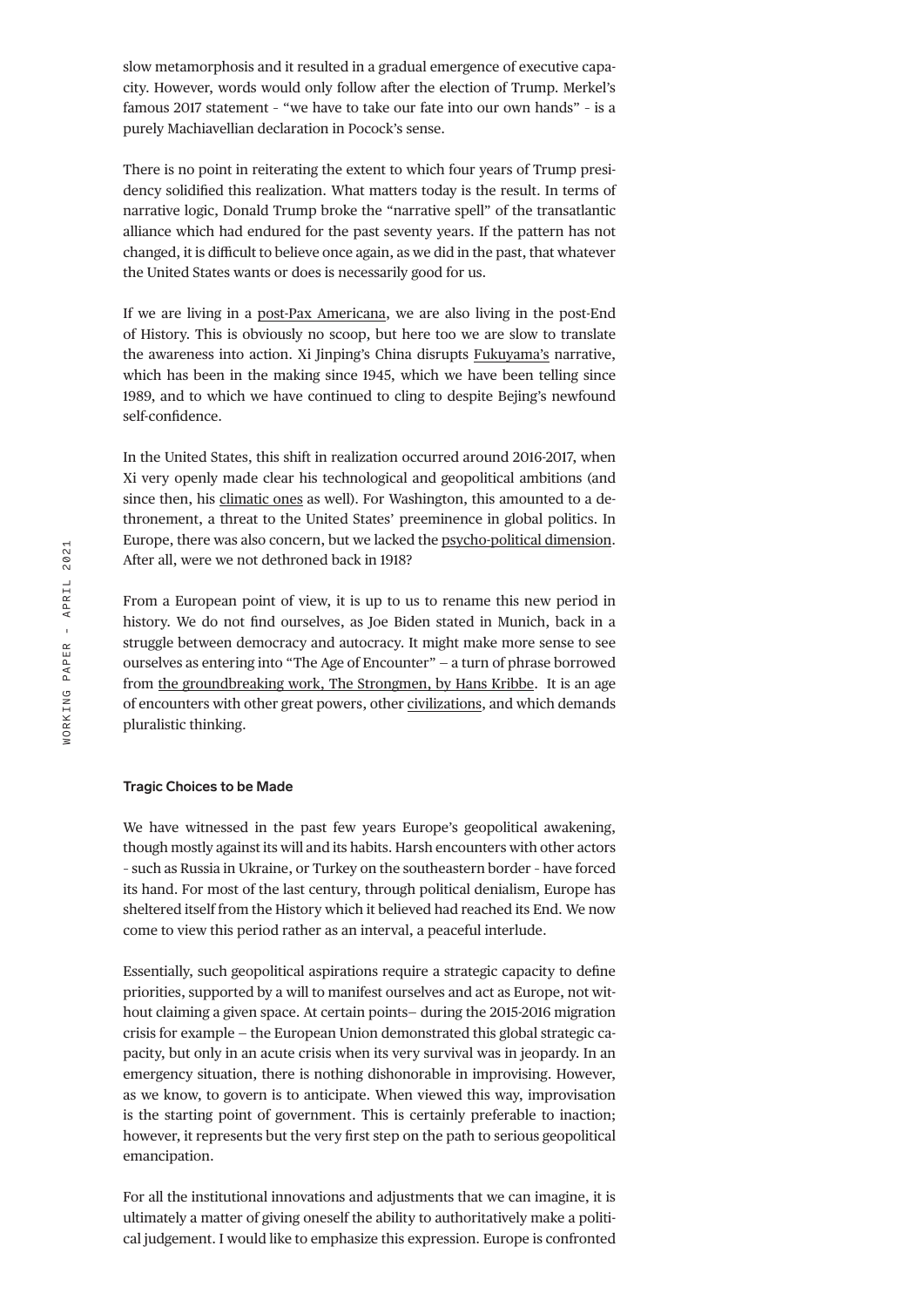slow metamorphosis and it resulted in a gradual emergence of executive capacity. However, words would only follow after the election of Trump. Merkel's famous 2017 statement – "we have to take our fate into our own hands" – is a purely Machiavellian declaration in Pocock's sense.

There is no point in reiterating the extent to which four years of Trump presidency solidified this realization. What matters today is the result. In terms of narrative logic, Donald Trump broke the "narrative spell" of the transatlantic alliance which had endured for the past seventy years. If the pattern has not changed, it is difficult to believe once again, as we did in the past, that whatever the United States wants or does is necessarily good for us.

If we are living in a [post-Pax Americana,](https://legrandcontinent.eu/fr/2020/03/12/empire-20-ans-apres/) we are also living in the post-End of History. This is obviously no scoop, but here too we are slow to translate the awareness into action. Xi Jinping's China disrupts [Fukuyama's](https://legrandcontinent.eu/fr/2018/04/26/le-retour-du-mauvais-empereur-de-chine/) narrative, which has been in the making since 1945, which we have been telling since 1989, and to which we have continued to cling to despite Bejing's newfound self-confidence.

In the United States, this shift in realization occurred around 2016-2017, when Xi very openly made clear his technological and geopolitical ambitions (and since then, his [climatic ones](https://legrandcontinent.eu/fr/2020/09/30/le-tournant-realiste-de-lecologie-politique/) as well). For Washington, this amounted to a dethronement, a threat to the United States' preeminence in global politics. In Europe, there was also concern, but we lacked the [psycho-political dimension](https://legrandcontinent.eu/fr/2019/10/18/il-est-difficile-doublier-lempire-une-conversation-avec-romano-prodi/). After all, were we not dethroned back in 1918?

From a European point of view, it is up to us to rename this new period in history. We do not find ourselves, as Joe Biden stated in Munich, back in a struggle between democracy and autocracy. It might make more sense to see ourselves as entering into "The Age of Encounter" — a turn of phrase borrowed from [the groundbreaking work, The Strongmen, by Hans Kribbe](https://legrandcontinent.eu/fr/2021/02/15/leurope-face-a-la-puissance-une-conversation-avec-hans-kribbe/). It is an age of encounters with other great powers, other [civilizations,](https://legrandcontinent.eu/fr/2020/05/20/lenigme-de-la-paix-en-asie/) and which demands pluralistic thinking.

#### **Tragic Choices to be Made**

We have witnessed in the past few years Europe's geopolitical awakening, though mostly against its will and its habits. Harsh encounters with other actors – such as Russia in Ukraine, or Turkey on the southeastern border – have forced its hand. For most of the last century, through political denialism, Europe has sheltered itself from the History which it believed had reached its End. We now come to view this period rather as an interval, a peaceful interlude.

Essentially, such geopolitical aspirations require a strategic capacity to define priorities, supported by a will to manifest ourselves and act as Europe, not without claiming a given space. At certain points— during the 2015-2016 migration crisis for example — the European Union demonstrated this global strategic capacity, but only in an acute crisis when its very survival was in jeopardy. In an emergency situation, there is nothing dishonorable in improvising. However, as we know, to govern is to anticipate. When viewed this way, improvisation is the starting point of government. This is certainly preferable to inaction; however, it represents but the very first step on the path to serious geopolitical emancipation.

For all the institutional innovations and adjustments that we can imagine, it is ultimately a matter of giving oneself the ability to authoritatively make a political judgement. I would like to emphasize this expression. Europe is confronted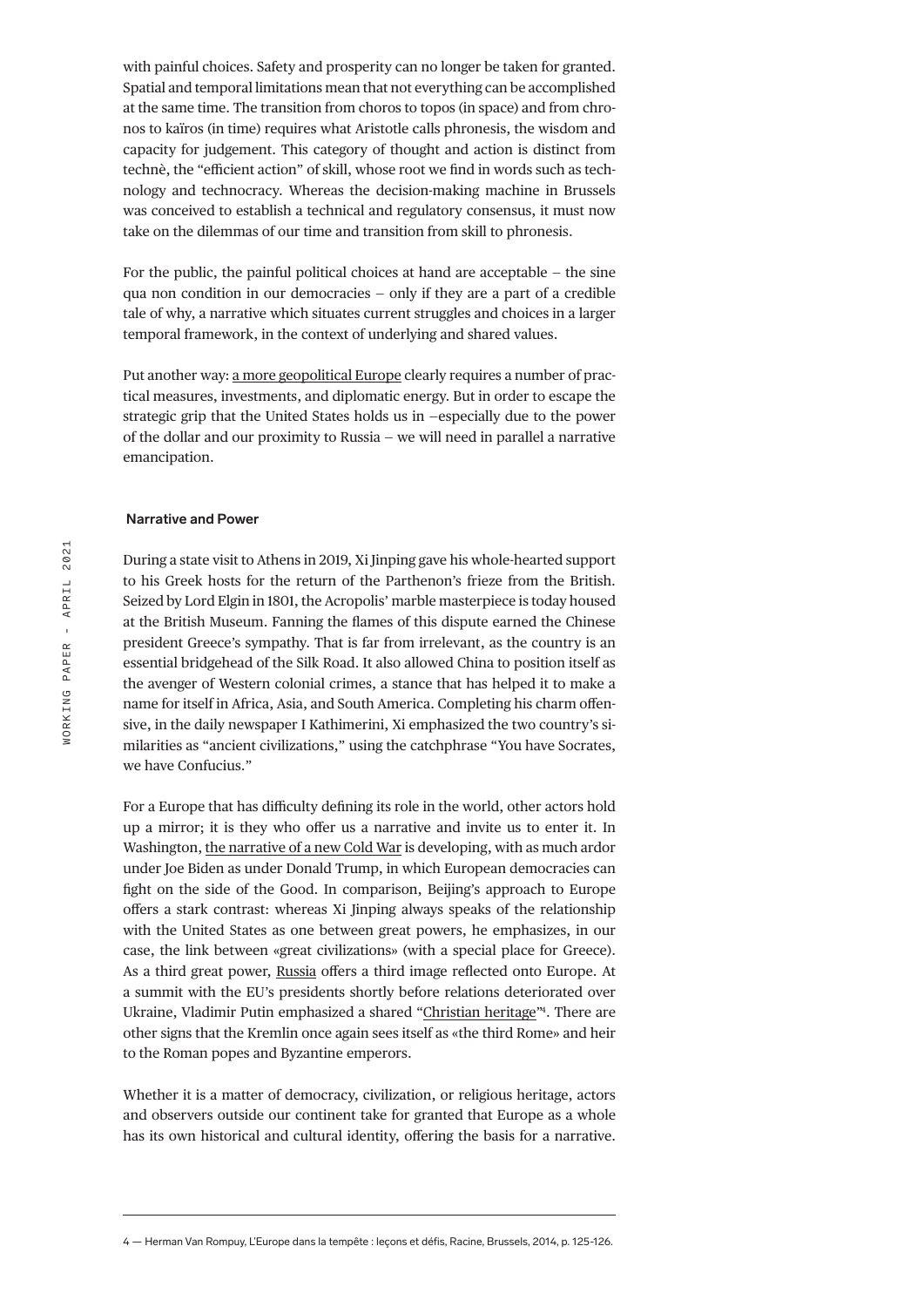with painful choices. Safety and prosperity can no longer be taken for granted. Spatial and temporal limitations mean that not everything can be accomplished at the same time. The transition from choros to topos (in space) and from chronos to kaïros (in time) requires what Aristotle calls phronesis, the wisdom and capacity for judgement. This category of thought and action is distinct from technè, the "efficient action" of skill, whose root we find in words such as technology and technocracy. Whereas the decision-making machine in Brussels was conceived to establish a technical and regulatory consensus, it must now take on the dilemmas of our time and transition from skill to phronesis.

For the public, the painful political choices at hand are acceptable — the sine qua non condition in our democracies — only if they are a part of a credible tale of why, a narrative which situates current struggles and choices in a larger temporal framework, in the context of underlying and shared values.

Put another way: [a more geopolitical Europe](https://legrandcontinent.eu/fr/2020/09/18/une-union-toujours-plus-geopolitique/) clearly requires a number of practical measures, investments, and diplomatic energy. But in order to escape the strategic grip that the United States holds us in —especially due to the power of the dollar and our proximity to Russia — we will need in parallel a narrative emancipation.

#### **Narrative and Power**

During a state visit to Athens in 2019, Xi Jinping gave his whole-hearted support to his Greek hosts for the return of the Parthenon's frieze from the British. Seized by Lord Elgin in 1801, the Acropolis' marble masterpiece is today housed at the British Museum. Fanning the flames of this dispute earned the Chinese president Greece's sympathy. That is far from irrelevant, as the country is an essential bridgehead of the Silk Road. It also allowed China to position itself as the avenger of Western colonial crimes, a stance that has helped it to make a name for itself in Africa, Asia, and South America. Completing his charm offensive, in the daily newspaper I Kathimerini, Xi emphasized the two country's similarities as "ancient civilizations," using the catchphrase "You have Socrates, we have Confucius."

For a Europe that has difficulty defining its role in the world, other actors hold up a mirror; it is they who offer us a narrative and invite us to enter it. In Washington, [the narrative of a new Cold War](https://legrandcontinent.eu/fr/2018/12/09/la-grande-peur/) is developing, with as much ardor under Joe Biden as under Donald Trump, in which European democracies can fight on the side of the Good. In comparison, Beijing's approach to Europe offers a stark contrast: whereas Xi Jinping always speaks of the relationship with the United States as one between great powers, he emphasizes, in our case, the link between «great civilizations» (with a special place for Greece). As a third great power, [Russia](https://legrandcontinent.eu/fr/2021/03/06/le-monde-vu-du-kremlin/) offers a third image reflected onto Europe. At a summit with the EU's presidents shortly before relations deteriorated over Ukraine, Vladimir Putin emphasized a shared "[Christian heritage"](https://legrandcontinent.eu/fr/2018/10/19/le-religieux-sauvera-leurope/)<sup>4</sup>. There are other signs that the Kremlin once again sees itself as «the third Rome» and heir to the Roman popes and Byzantine emperors.

Whether it is a matter of democracy, civilization, or religious heritage, actors and observers outside our continent take for granted that Europe as a whole has its own historical and cultural identity, offering the basis for a narrative.

<sup>4 —</sup> Herman Van Rompuy, L'Europe dans la tempête : leçons et défis, Racine, Brussels, 2014, p. 125-126.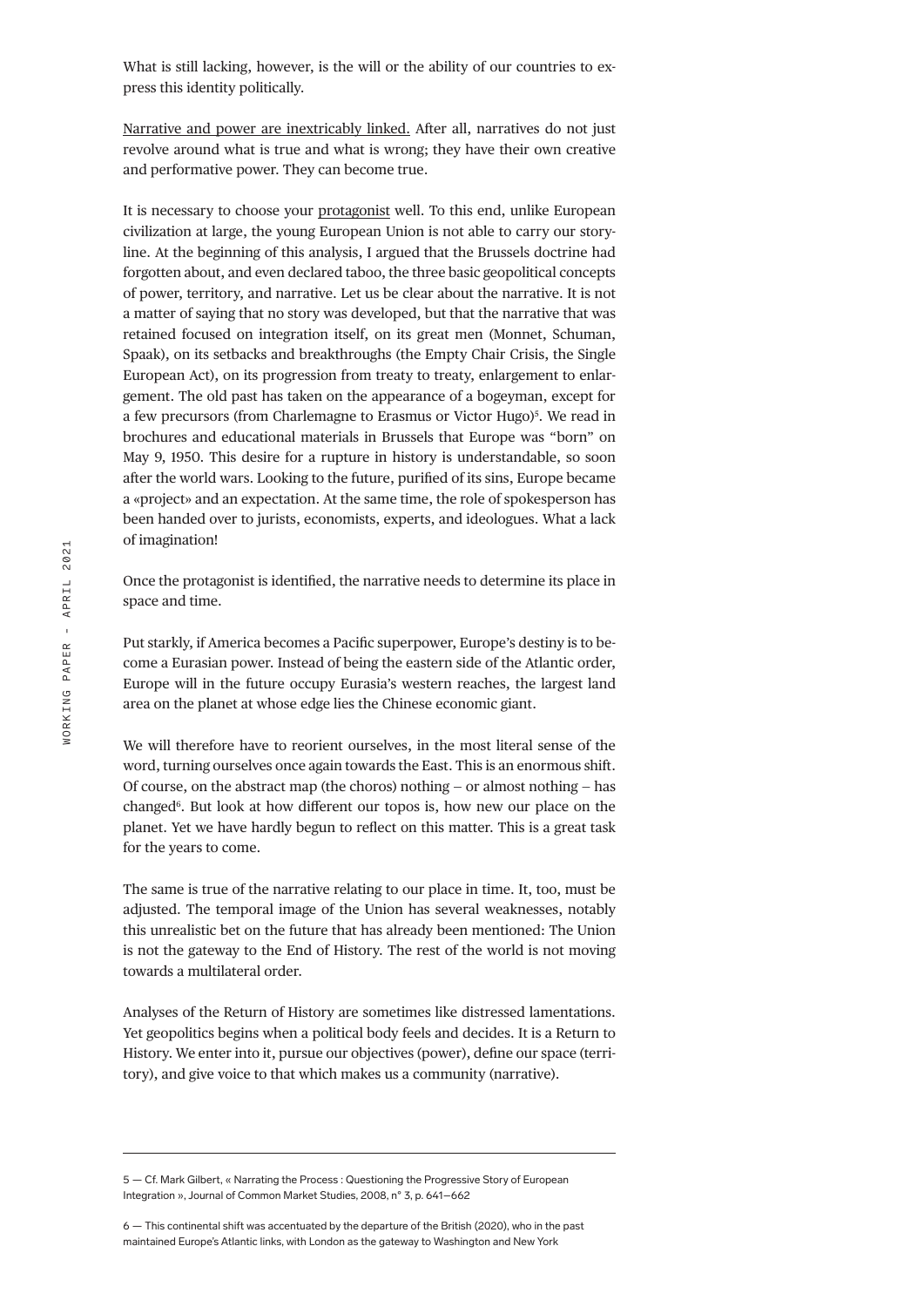What is still lacking, however, is the will or the ability of our countries to express this identity politically.

[Narrative and power are inextricably linked.](https://legrandcontinent.eu/fr/2019/07/01/europeens-vous-valez-davantage-que-vos-mythes/) After all, narratives do not just revolve around what is true and what is wrong; they have their own creative and performative power. They can become true.

It is necessary to choose your [protagonist](https://legrandcontinent.eu/fr/2017/09/30/denis-crouzet-historiens-europe/) well. To this end, unlike European civilization at large, the young European Union is not able to carry our storyline. At the beginning of this analysis, I argued that the Brussels doctrine had forgotten about, and even declared taboo, the three basic geopolitical concepts of power, territory, and narrative. Let us be clear about the narrative. It is not a matter of saying that no story was developed, but that the narrative that was retained focused on integration itself, on its great men (Monnet, Schuman, Spaak), on its setbacks and breakthroughs (the Empty Chair Crisis, the Single European Act), on its progression from treaty to treaty, enlargement to enlargement. The old past has taken on the appearance of a bogeyman, except for a few precursors (from Charlemagne to Erasmus or Victor Hugo)<sup>5</sup>. We read in brochures and educational materials in Brussels that Europe was "born" on May 9, 1950. This desire for a rupture in history is understandable, so soon after the world wars. Looking to the future, purified of its sins, Europe became a «project» and an expectation. At the same time, the role of spokesperson has been handed over to jurists, economists, experts, and ideologues. What a lack of imagination!

Once the protagonist is identified, the narrative needs to determine its place in space and time.

Put starkly, if America becomes a Pacific superpower, Europe's destiny is to become a Eurasian power. Instead of being the eastern side of the Atlantic order, Europe will in the future occupy Eurasia's western reaches, the largest land area on the planet at whose edge lies the Chinese economic giant.

We will therefore have to reorient ourselves, in the most literal sense of the word, turning ourselves once again towards the East. This is an enormous shift. Of course, on the abstract map (the choros) nothing — or almost nothing — has changed<sup>6</sup>. But look at how different our topos is, how new our place on the planet. Yet we have hardly begun to reflect on this matter. This is a great task for the years to come.

The same is true of the narrative relating to our place in time. It, too, must be adjusted. The temporal image of the Union has several weaknesses, notably this unrealistic bet on the future that has already been mentioned: The Union is not the gateway to the End of History. The rest of the world is not moving towards a multilateral order.

Analyses of the Return of History are sometimes like distressed lamentations. Yet geopolitics begins when a political body feels and decides. It is a Return to History. We enter into it, pursue our objectives (power), define our space (territory), and give voice to that which makes us a community (narrative).

<sup>5 —</sup> Cf. Mark Gilbert, « Narrating the Process : Questioning the Progressive Story of European Integration », Journal of Common Market Studies, 2008, n° 3, p. 641–662

<sup>6 —</sup> This continental shift was accentuated by the departure of the British (2020), who in the past maintained Europe's Atlantic links, with London as the gateway to Washington and New York